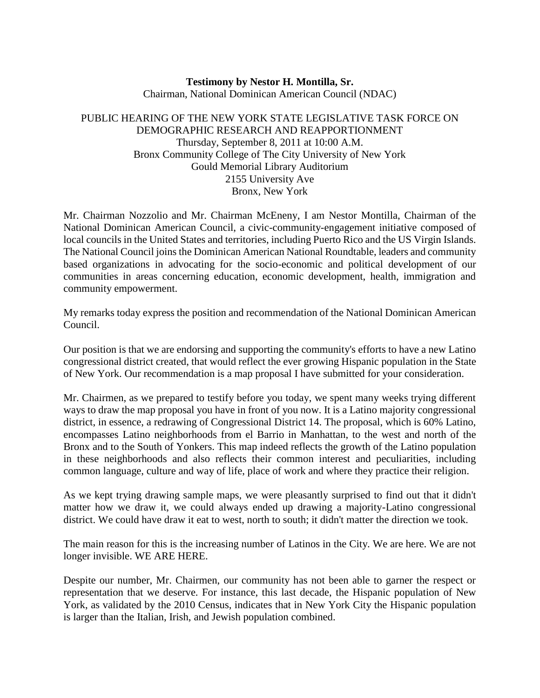## **Testimony by Nestor H. Montilla, Sr.** Chairman, National Dominican American Council (NDAC)

## PUBLIC HEARING OF THE NEW YORK STATE LEGISLATIVE TASK FORCE ON DEMOGRAPHIC RESEARCH AND REAPPORTIONMENT Thursday, September 8, 2011 at 10:00 A.M. Bronx Community College of The City University of New York Gould Memorial Library Auditorium 2155 University Ave Bronx, New York

Mr. Chairman Nozzolio and Mr. Chairman McEneny, I am Nestor Montilla, Chairman of the National Dominican American Council, a civic-community-engagement initiative composed of local councils in the United States and territories, including Puerto Rico and the US Virgin Islands. The National Council joins the Dominican American National Roundtable, leaders and community based organizations in advocating for the socio-economic and political development of our communities in areas concerning education, economic development, health, immigration and community empowerment.

My remarks today express the position and recommendation of the National Dominican American Council.

Our position is that we are endorsing and supporting the community's efforts to have a new Latino congressional district created, that would reflect the ever growing Hispanic population in the State of New York. Our recommendation is a map proposal I have submitted for your consideration.

Mr. Chairmen, as we prepared to testify before you today, we spent many weeks trying different ways to draw the map proposal you have in front of you now. It is a Latino majority congressional district, in essence, a redrawing of Congressional District 14. The proposal, which is 60% Latino, encompasses Latino neighborhoods from el Barrio in Manhattan, to the west and north of the Bronx and to the South of Yonkers. This map indeed reflects the growth of the Latino population in these neighborhoods and also reflects their common interest and peculiarities, including common language, culture and way of life, place of work and where they practice their religion.

As we kept trying drawing sample maps, we were pleasantly surprised to find out that it didn't matter how we draw it, we could always ended up drawing a majority-Latino congressional district. We could have draw it eat to west, north to south; it didn't matter the direction we took.

The main reason for this is the increasing number of Latinos in the City. We are here. We are not longer invisible. WE ARE HERE.

Despite our number, Mr. Chairmen, our community has not been able to garner the respect or representation that we deserve. For instance, this last decade, the Hispanic population of New York, as validated by the 2010 Census, indicates that in New York City the Hispanic population is larger than the Italian, Irish, and Jewish population combined.